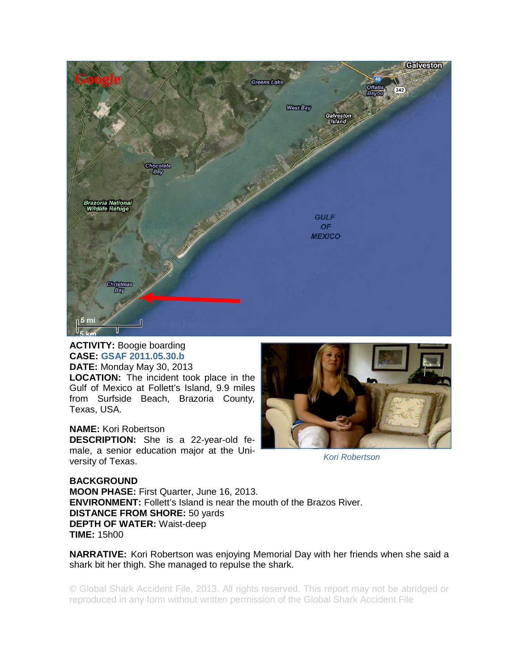

## **ACTIVITY:** Boogie boarding **CASE: GSAF 2011.05.30.b**

**DATE:** Monday May 30, 2013 **LOCATION:** The incident took place in the Gulf of Mexico at Follett's Island, 9.9 miles from Surfside Beach, Brazoria County, Texas, USA.

## **NAME:** Kori Robertson

**DESCRIPTION:** She is a 22-year-old female, a senior education major at the University of Texas.



*Kori Robertson* 

## **BACKGROUND**

**MOON PHASE:** First Quarter, June 16, 2013. **ENVIRONMENT:** Follett's Island is near the mouth of the Brazos River. **DISTANCE FROM SHORE:** 50 yards **DEPTH OF WATER:** Waist-deep **TIME:** 15h00

**NARRATIVE:** Kori Robertson was enjoying Memorial Day with her friends when she said a shark bit her thigh. She managed to repulse the shark.

© Global Shark Accident File, 2013. All rights reserved. This report may not be abridged or reproduced in any form without written permission of the Global Shark Accident File